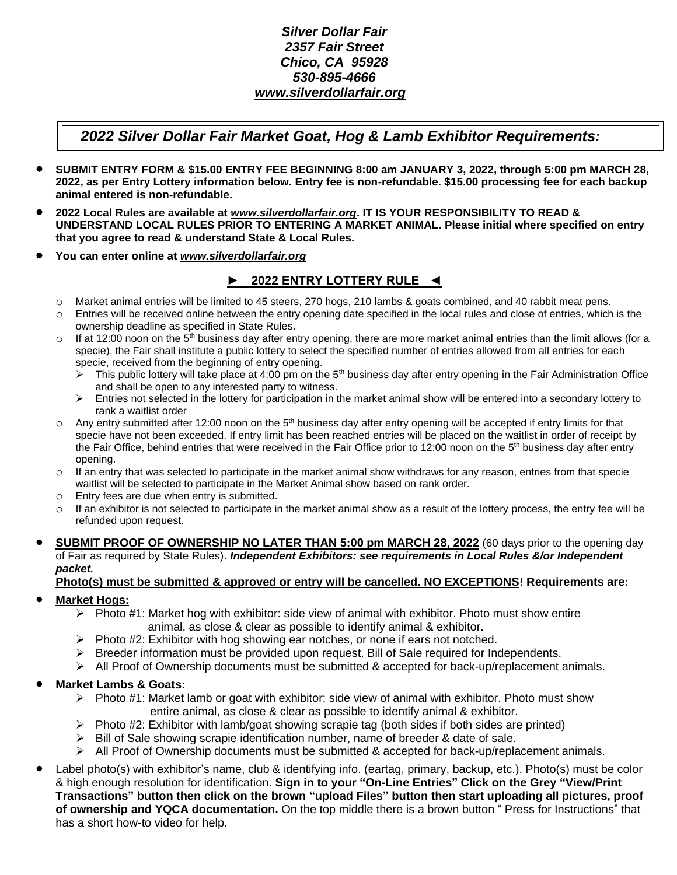## *Silver Dollar Fair 2357 Fair Street Chico, CA 95928 530-895-4666 [www.silverdollarfair.org](http://www.silverdollarfair.org/)*

# *2022 Silver Dollar Fair Market Goat, Hog & Lamb Exhibitor Requirements:*

- **SUBMIT ENTRY FORM & \$15.00 ENTRY FEE BEGINNING 8:00 am JANUARY 3, 2022, through 5:00 pm MARCH 28, 2022, as per Entry Lottery information below. Entry fee is non-refundable. \$15.00 processing fee for each backup animal entered is non-refundable.**
- **2022 Local Rules are available at** *[www.silverdollarfair.org](http://www.silverdollarfair.org/)***. IT IS YOUR RESPONSIBILITY TO READ & UNDERSTAND LOCAL RULES PRIOR TO ENTERING A MARKET ANIMAL. Please initial where specified on entry that you agree to read & understand State & Local Rules.**
- **You can enter online at** *[www.silverdollarfair.org](http://www.silverdollarfair.org/)*

## ► **2022 ENTRY LOTTERY RULE ◄**

- o Market animal entries will be limited to 45 steers, 270 hogs, 210 lambs & goats combined, and 40 rabbit meat pens.
- o Entries will be received online between the entry opening date specified in the local rules and close of entries, which is the ownership deadline as specified in State Rules.
- $\circ$  If at 12:00 noon on the 5<sup>th</sup> business day after entry opening, there are more market animal entries than the limit allows (for a specie), the Fair shall institute a public lottery to select the specified number of entries allowed from all entries for each specie, received from the beginning of entry opening.
	- $\triangleright$  This public lottery will take place at 4:00 pm on the 5<sup>th</sup> business day after entry opening in the Fair Administration Office and shall be open to any interested party to witness.
	- $\triangleright$  Entries not selected in the lottery for participation in the market animal show will be entered into a secondary lottery to rank a waitlist order
- $\circ$  Any entry submitted after 12:00 noon on the 5<sup>th</sup> business day after entry opening will be accepted if entry limits for that specie have not been exceeded. If entry limit has been reached entries will be placed on the waitlist in order of receipt by the Fair Office, behind entries that were received in the Fair Office prior to 12:00 noon on the 5<sup>th</sup> business day after entry opening.
- $\circ$  If an entry that was selected to participate in the market animal show withdraws for any reason, entries from that specie waitlist will be selected to participate in the Market Animal show based on rank order.
- o Entry fees are due when entry is submitted.
- $\circ$  If an exhibitor is not selected to participate in the market animal show as a result of the lottery process, the entry fee will be refunded upon request.
- **SUBMIT PROOF OF OWNERSHIP NO LATER THAN 5:00 pm MARCH 28, 2022** (60 days prior to the opening day of Fair as required by State Rules). *Independent Exhibitors: see requirements in Local Rules &/or Independent packet.*

# **Photo(s) must be submitted & approved or entry will be cancelled. NO EXCEPTIONS! Requirements are:**

### • **Market Hogs:**

- $\triangleright$  Photo #1: Market hog with exhibitor: side view of animal with exhibitor. Photo must show entire animal, as close & clear as possible to identify animal & exhibitor.
- ➢ Photo #2: Exhibitor with hog showing ear notches, or none if ears not notched.
- $\triangleright$  Breeder information must be provided upon request. Bill of Sale required for Independents.
- $\triangleright$  All Proof of Ownership documents must be submitted & accepted for back-up/replacement animals.

### • **Market Lambs & Goats:**

- $\triangleright$  Photo #1: Market lamb or goat with exhibitor: side view of animal with exhibitor. Photo must show entire animal, as close & clear as possible to identify animal & exhibitor.
- $\triangleright$  Photo #2: Exhibitor with lamb/goat showing scrapie tag (both sides if both sides are printed)
- $\triangleright$  Bill of Sale showing scrapie identification number, name of breeder & date of sale.
- $\triangleright$  All Proof of Ownership documents must be submitted & accepted for back-up/replacement animals.
- Label photo(s) with exhibitor's name, club & identifying info. (eartag, primary, backup, etc.). Photo(s) must be color & high enough resolution for identification. **Sign in to your "On-Line Entries" Click on the Grey "View/Print Transactions" button then click on the brown "upload Files" button then start uploading all pictures, proof of ownership and YQCA documentation.** On the top middle there is a brown button " Press for Instructions" that has a short how-to video for help.